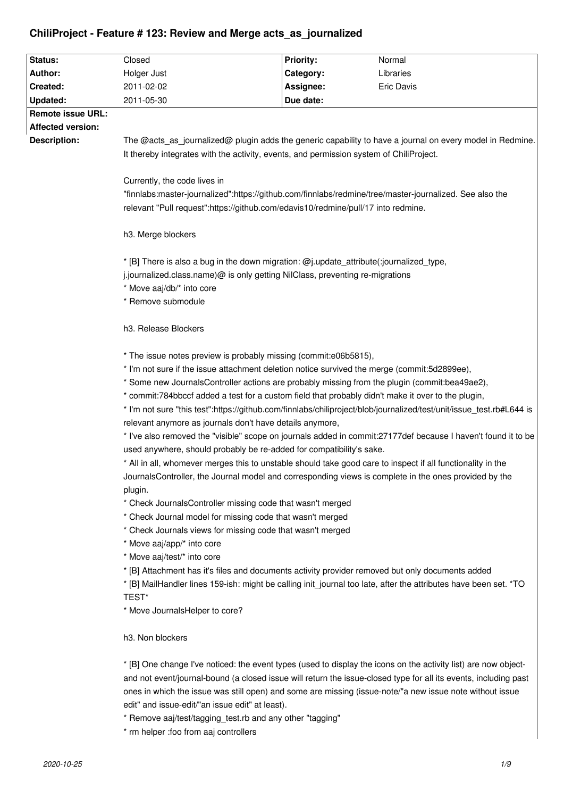# **ChiliProject - Feature # 123: Review and Merge acts\_as\_journalized**

| Status:                                                                                                          | Closed                                                                                                                                                                                                                                                                                                                                          | <b>Priority:</b>                                                                                      | Normal            |                                                                                   |  |  |
|------------------------------------------------------------------------------------------------------------------|-------------------------------------------------------------------------------------------------------------------------------------------------------------------------------------------------------------------------------------------------------------------------------------------------------------------------------------------------|-------------------------------------------------------------------------------------------------------|-------------------|-----------------------------------------------------------------------------------|--|--|
| Author:                                                                                                          | Holger Just                                                                                                                                                                                                                                                                                                                                     | Category:                                                                                             | Libraries         |                                                                                   |  |  |
| Created:                                                                                                         | 2011-02-02                                                                                                                                                                                                                                                                                                                                      | Assignee:                                                                                             | <b>Eric Davis</b> |                                                                                   |  |  |
| <b>Updated:</b>                                                                                                  | 2011-05-30                                                                                                                                                                                                                                                                                                                                      | Due date:                                                                                             |                   |                                                                                   |  |  |
| <b>Remote issue URL:</b>                                                                                         |                                                                                                                                                                                                                                                                                                                                                 |                                                                                                       |                   |                                                                                   |  |  |
| <b>Affected version:</b>                                                                                         |                                                                                                                                                                                                                                                                                                                                                 |                                                                                                       |                   |                                                                                   |  |  |
| Description:                                                                                                     | The @acts_as_journalized@ plugin adds the generic capability to have a journal on every model in Redmine.<br>It thereby integrates with the activity, events, and permission system of ChiliProject.<br>Currently, the code lives in<br>"finnlabs:master-journalized":https://github.com/finnlabs/redmine/tree/master-journalized. See also the |                                                                                                       |                   |                                                                                   |  |  |
|                                                                                                                  |                                                                                                                                                                                                                                                                                                                                                 |                                                                                                       |                   |                                                                                   |  |  |
|                                                                                                                  |                                                                                                                                                                                                                                                                                                                                                 |                                                                                                       |                   | relevant "Pull request":https://github.com/edavis10/redmine/pull/17 into redmine. |  |  |
|                                                                                                                  |                                                                                                                                                                                                                                                                                                                                                 |                                                                                                       |                   | h3. Merge blockers                                                                |  |  |
|                                                                                                                  | * [B] There is also a bug in the down migration: @j.update_attribute(:journalized_type,                                                                                                                                                                                                                                                         |                                                                                                       |                   |                                                                                   |  |  |
|                                                                                                                  | j.journalized.class.name)@ is only getting NilClass, preventing re-migrations                                                                                                                                                                                                                                                                   |                                                                                                       |                   |                                                                                   |  |  |
|                                                                                                                  | * Move aaj/db/* into core                                                                                                                                                                                                                                                                                                                       |                                                                                                       |                   |                                                                                   |  |  |
|                                                                                                                  | * Remove submodule                                                                                                                                                                                                                                                                                                                              |                                                                                                       |                   |                                                                                   |  |  |
|                                                                                                                  | h3. Release Blockers                                                                                                                                                                                                                                                                                                                            |                                                                                                       |                   |                                                                                   |  |  |
|                                                                                                                  | * The issue notes preview is probably missing (commit:e06b5815),                                                                                                                                                                                                                                                                                |                                                                                                       |                   |                                                                                   |  |  |
|                                                                                                                  | * I'm not sure if the issue attachment deletion notice survived the merge (commit:5d2899ee),                                                                                                                                                                                                                                                    |                                                                                                       |                   |                                                                                   |  |  |
|                                                                                                                  | * Some new JournalsController actions are probably missing from the plugin (commit:bea49ae2),                                                                                                                                                                                                                                                   |                                                                                                       |                   |                                                                                   |  |  |
|                                                                                                                  | * commit:784bbccf added a test for a custom field that probably didn't make it over to the plugin,                                                                                                                                                                                                                                              |                                                                                                       |                   |                                                                                   |  |  |
|                                                                                                                  | * I'm not sure "this test":https://github.com/finnlabs/chiliproject/blob/journalized/test/unit/issue_test.rb#L644 is                                                                                                                                                                                                                            |                                                                                                       |                   |                                                                                   |  |  |
|                                                                                                                  | relevant anymore as journals don't have details anymore,                                                                                                                                                                                                                                                                                        |                                                                                                       |                   |                                                                                   |  |  |
|                                                                                                                  | * I've also removed the "visible" scope on journals added in commit:27177def because I haven't found it to be                                                                                                                                                                                                                                   |                                                                                                       |                   |                                                                                   |  |  |
|                                                                                                                  | used anywhere, should probably be re-added for compatibility's sake.                                                                                                                                                                                                                                                                            |                                                                                                       |                   |                                                                                   |  |  |
|                                                                                                                  | * All in all, whomever merges this to unstable should take good care to inspect if all functionality in the                                                                                                                                                                                                                                     |                                                                                                       |                   |                                                                                   |  |  |
|                                                                                                                  |                                                                                                                                                                                                                                                                                                                                                 | JournalsController, the Journal model and corresponding views is complete in the ones provided by the |                   |                                                                                   |  |  |
|                                                                                                                  |                                                                                                                                                                                                                                                                                                                                                 | plugin.<br>* Check JournalsController missing code that wasn't merged                                 |                   |                                                                                   |  |  |
| * Check Journal model for missing code that wasn't merged                                                        |                                                                                                                                                                                                                                                                                                                                                 |                                                                                                       |                   |                                                                                   |  |  |
| * Check Journals views for missing code that wasn't merged                                                       |                                                                                                                                                                                                                                                                                                                                                 |                                                                                                       |                   |                                                                                   |  |  |
| * Move aaj/app/* into core                                                                                       |                                                                                                                                                                                                                                                                                                                                                 |                                                                                                       |                   |                                                                                   |  |  |
| * Move aaj/test/* into core                                                                                      |                                                                                                                                                                                                                                                                                                                                                 |                                                                                                       |                   |                                                                                   |  |  |
| * [B] Attachment has it's files and documents activity provider removed but only documents added                 |                                                                                                                                                                                                                                                                                                                                                 |                                                                                                       |                   |                                                                                   |  |  |
| * [B] MailHandler lines 159-ish: might be calling init journal too late, after the attributes have been set. *TO |                                                                                                                                                                                                                                                                                                                                                 |                                                                                                       |                   |                                                                                   |  |  |
| TEST*                                                                                                            |                                                                                                                                                                                                                                                                                                                                                 |                                                                                                       |                   |                                                                                   |  |  |
| * Move JournalsHelper to core?                                                                                   |                                                                                                                                                                                                                                                                                                                                                 |                                                                                                       |                   |                                                                                   |  |  |
| h3. Non blockers                                                                                                 |                                                                                                                                                                                                                                                                                                                                                 |                                                                                                       |                   |                                                                                   |  |  |
| * [B] One change I've noticed: the event types (used to display the icons on the activity list) are now object-  |                                                                                                                                                                                                                                                                                                                                                 |                                                                                                       |                   |                                                                                   |  |  |
|                                                                                                                  | and not event/journal-bound (a closed issue will return the issue-closed type for all its events, including past                                                                                                                                                                                                                                |                                                                                                       |                   |                                                                                   |  |  |
|                                                                                                                  | ones in which the issue was still open) and some are missing (issue-note/"a new issue note without issue                                                                                                                                                                                                                                        |                                                                                                       |                   |                                                                                   |  |  |
|                                                                                                                  | edit" and issue-edit/"an issue edit" at least).                                                                                                                                                                                                                                                                                                 |                                                                                                       |                   |                                                                                   |  |  |
|                                                                                                                  | * Remove aaj/test/tagging_test.rb and any other "tagging"                                                                                                                                                                                                                                                                                       |                                                                                                       |                   |                                                                                   |  |  |
|                                                                                                                  | * rm helper : foo from aaj controllers                                                                                                                                                                                                                                                                                                          |                                                                                                       |                   |                                                                                   |  |  |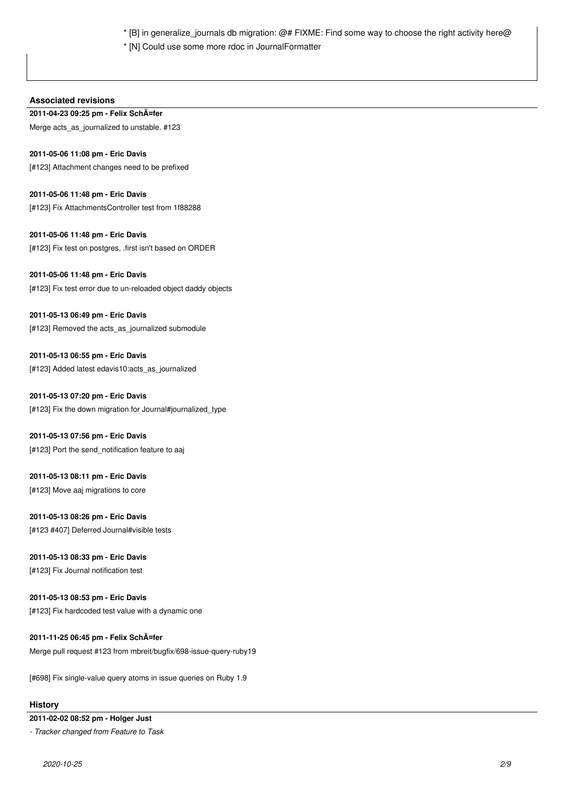\* [B] in generalize\_journals db migration: @# FIXME: Find some way to choose the right activity here@

\* [N] Could use some more rdoc in JournalFormatter

# **Associated revisions**

**2011-04-23 09:25 pm - Felix Schäfer**  Merge acts\_as\_journalized to unstable. #123

# **2011-05-06 11:08 pm - Eric Davis**

[#123] Attachment changes need to be prefixed

**2011-05-06 11:48 pm - Eric Davis** [#123] Fix AttachmentsController test from 1f88288

**2011-05-06 11:48 pm - Eric Davis** [#123] Fix test on postgres, .first isn't based on ORDER

## **2011-05-06 11:48 pm - Eric Davis**

[#123] Fix test error due to un-reloaded object daddy objects

**2011-05-13 06:49 pm - Eric Davis** [#123] Removed the acts as journalized submodule

**2011-05-13 06:55 pm - Eric Davis** [#123] Added latest edavis10:acts\_as\_journalized

**2011-05-13 07:20 pm - Eric Davis** [#123] Fix the down migration for Journal#journalized\_type

**2011-05-13 07:56 pm - Eric Davis** [#123] Port the send\_notification feature to aaj

# **2011-05-13 08:11 pm - Eric Davis** [#123] Move aaj migrations to core

**2011-05-13 08:26 pm - Eric Davis** [#123 #407] Deferred Journal#visible tests

# **2011-05-13 08:33 pm - Eric Davis**

[#123] Fix Journal notification test

# **2011-05-13 08:53 pm - Eric Davis**

[#123] Fix hardcoded test value with a dynamic one

**2011-11-25 06:45 pm - Felix Schäfer**  Merge pull request #123 from mbreit/bugfix/698-issue-query-ruby19

[#698] Fix single-value query atoms in issue queries on Ruby 1.9

# **History**

# **2011-02-02 08:52 pm - Holger Just**

*- Tracker changed from Feature to Task*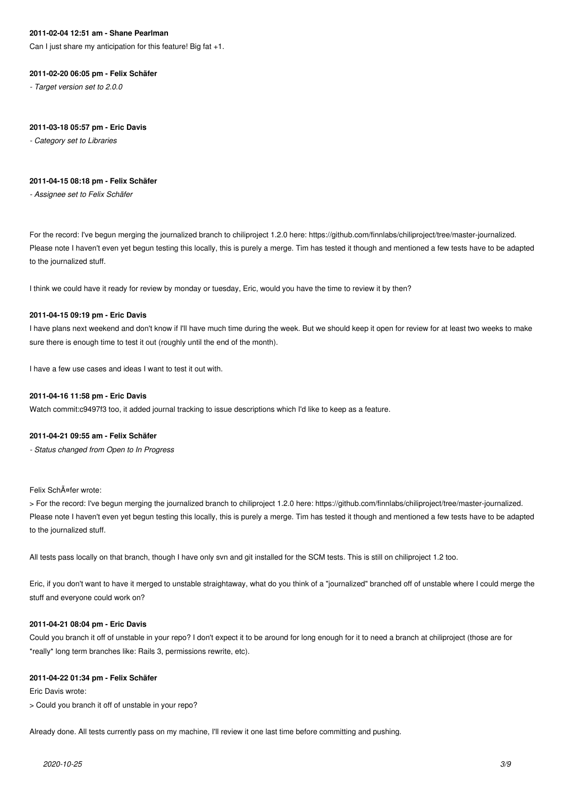#### **2011-02-04 12:51 am - Shane Pearlman**

Can I just share my anticipation for this feature! Big fat +1.

#### **2011-02-20 06:05 pm - Felix Schäfer**

*- Target version set to 2.0.0*

#### **2011-03-18 05:57 pm - Eric Davis**

*- Category set to Libraries*

#### **2011-04-15 08:18 pm - Felix Schäfer**

*- Assignee set to Felix Schäfer*

For the record: I've begun merging the journalized branch to chiliproject 1.2.0 here: https://github.com/finnlabs/chiliproject/tree/master-journalized. Please note I haven't even yet begun testing this locally, this is purely a merge. Tim has tested it though and mentioned a few tests have to be adapted to the journalized stuff.

I think we could have it ready for review by monday or tuesday, Eric, would you have the time to review it by then?

## **2011-04-15 09:19 pm - Eric Davis**

I have plans next weekend and don't know if I'll have much time during the week. But we should keep it open for review for at least two weeks to make sure there is enough time to test it out (roughly until the end of the month).

I have a few use cases and ideas I want to test it out with.

#### **2011-04-16 11:58 pm - Eric Davis**

Watch commit:c9497f3 too, it added journal tracking to issue descriptions which I'd like to keep as a feature.

#### **2011-04-21 09:55 am - Felix Schäfer**

*- Status changed from Open to In Progress*

Felix SchĤfer wrote:

> For the record: I've begun merging the journalized branch to chiliproject 1.2.0 here: https://github.com/finnlabs/chiliproject/tree/master-journalized. Please note I haven't even yet begun testing this locally, this is purely a merge. Tim has tested it though and mentioned a few tests have to be adapted to the journalized stuff.

All tests pass locally on that branch, though I have only svn and git installed for the SCM tests. This is still on chiliproject 1.2 too.

Eric, if you don't want to have it merged to unstable straightaway, what do you think of a "journalized" branched off of unstable where I could merge the stuff and everyone could work on?

#### **2011-04-21 08:04 pm - Eric Davis**

Could you branch it off of unstable in your repo? I don't expect it to be around for long enough for it to need a branch at chiliproject (those are for \*really\* long term branches like: Rails 3, permissions rewrite, etc).

#### **2011-04-22 01:34 pm - Felix Schäfer**

Eric Davis wrote:

> Could you branch it off of unstable in your repo?

Already done. All tests currently pass on my machine, I'll review it one last time before committing and pushing.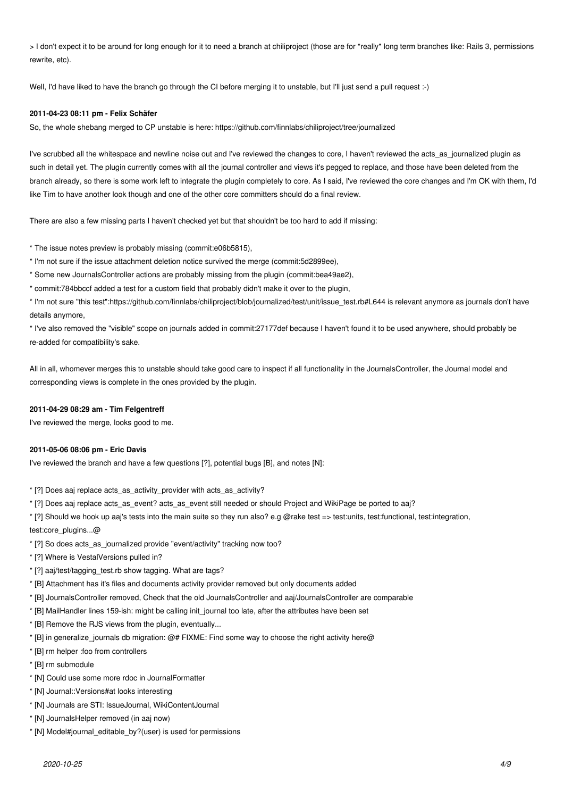> I don't expect it to be around for long enough for it to need a branch at chiliproject (those are for \*really\* long term branches like: Rails 3, permissions rewrite, etc).

Well, I'd have liked to have the branch go through the CI before merging it to unstable, but I'll just send a pull request :-)

#### **2011-04-23 08:11 pm - Felix Schäfer**

So, the whole shebang merged to CP unstable is here: https://github.com/finnlabs/chiliproject/tree/journalized

I've scrubbed all the whitespace and newline noise out and I've reviewed the changes to core, I haven't reviewed the acts as journalized plugin as such in detail yet. The plugin currently comes with all the journal controller and views it's pegged to replace, and those have been deleted from the branch already, so there is some work left to integrate the plugin completely to core. As I said, I've reviewed the core changes and I'm OK with them, I'd like Tim to have another look though and one of the other core committers should do a final review.

There are also a few missing parts I haven't checked yet but that shouldn't be too hard to add if missing:

\* The issue notes preview is probably missing (commit:e06b5815),

- \* I'm not sure if the issue attachment deletion notice survived the merge (commit:5d2899ee),
- \* Some new JournalsController actions are probably missing from the plugin (commit:bea49ae2),
- \* commit:784bbccf added a test for a custom field that probably didn't make it over to the plugin,

\* I'm not sure "this test":https://github.com/finnlabs/chiliproject/blob/journalized/test/unit/issue\_test.rb#L644 is relevant anymore as journals don't have details anymore,

\* I've also removed the "visible" scope on journals added in commit:27177def because I haven't found it to be used anywhere, should probably be re-added for compatibility's sake.

All in all, whomever merges this to unstable should take good care to inspect if all functionality in the JournalsController, the Journal model and corresponding views is complete in the ones provided by the plugin.

## **2011-04-29 08:29 am - Tim Felgentreff**

I've reviewed the merge, looks good to me.

## **2011-05-06 08:06 pm - Eric Davis**

I've reviewed the branch and have a few questions [?], potential bugs [B], and notes [N]:

\* [?] Does aaj replace acts\_as\_activity\_provider with acts\_as\_activity?

- \* [?] Does aaj replace acts\_as\_event? acts\_as\_event still needed or should Project and WikiPage be ported to aaj?
- \* [?] Should we hook up aaj's tests into the main suite so they run also? e.g @rake test => test:units, test:functional, test:integration, test:core\_plugins...@
- \* [?] So does acts\_as\_journalized provide "event/activity" tracking now too?
- \* [?] Where is VestalVersions pulled in?
- \* [?] aaj/test/tagging\_test.rb show tagging. What are tags?
- \* [B] Attachment has it's files and documents activity provider removed but only documents added
- \* [B] JournalsController removed, Check that the old JournalsController and aaj/JournalsController are comparable
- \* [B] MailHandler lines 159-ish: might be calling init\_journal too late, after the attributes have been set
- \* [B] Remove the RJS views from the plugin, eventually...
- \* [B] in generalize\_journals db migration: @# FIXME: Find some way to choose the right activity here@
- \* [B] rm helper :foo from controllers
- \* [B] rm submodule
- \* [N] Could use some more rdoc in JournalFormatter
- \* [N] Journal::Versions#at looks interesting
- \* [N] Journals are STI: IssueJournal, WikiContentJournal
- \* [N] JournalsHelper removed (in aaj now)
- \* [N] Model#journal\_editable\_by?(user) is used for permissions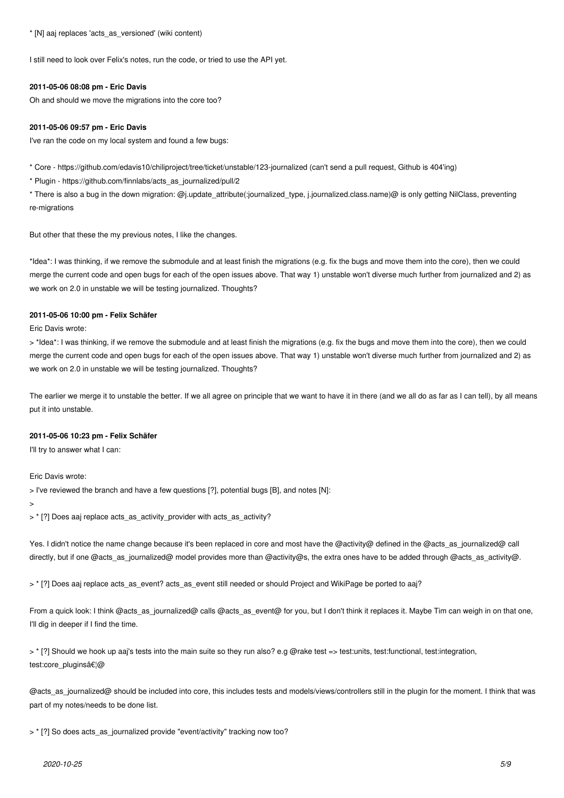\* [N] aaj replaces 'acts\_as\_versioned' (wiki content)

I still need to look over Felix's notes, run the code, or tried to use the API yet.

#### **2011-05-06 08:08 pm - Eric Davis**

Oh and should we move the migrations into the core too?

#### **2011-05-06 09:57 pm - Eric Davis**

I've ran the code on my local system and found a few bugs:

\* Core - https://github.com/edavis10/chiliproject/tree/ticket/unstable/123-journalized (can't send a pull request, Github is 404'ing)

\* Plugin - https://github.com/finnlabs/acts\_as\_journalized/pull/2

\* There is also a bug in the down migration: @j.update\_attribute(:journalized\_type, j.journalized.class.name)@ is only getting NilClass, preventing re-migrations

But other that these the my previous notes, I like the changes.

\*Idea\*: I was thinking, if we remove the submodule and at least finish the migrations (e.g. fix the bugs and move them into the core), then we could merge the current code and open bugs for each of the open issues above. That way 1) unstable won't diverse much further from journalized and 2) as we work on 2.0 in unstable we will be testing journalized. Thoughts?

## **2011-05-06 10:00 pm - Felix Schäfer**

Eric Davis wrote:

> \*Idea\*: I was thinking, if we remove the submodule and at least finish the migrations (e.g. fix the bugs and move them into the core), then we could merge the current code and open bugs for each of the open issues above. That way 1) unstable won't diverse much further from journalized and 2) as we work on 2.0 in unstable we will be testing journalized. Thoughts?

The earlier we merge it to unstable the better. If we all agree on principle that we want to have it in there (and we all do as far as I can tell), by all means put it into unstable.

## **2011-05-06 10:23 pm - Felix Schäfer**

I'll try to answer what I can:

Eric Davis wrote:

> I've reviewed the branch and have a few questions [?], potential bugs [B], and notes [N]:

>

> \* [?] Does aaj replace acts\_as\_activity\_provider with acts\_as\_activity?

Yes. I didn't notice the name change because it's been replaced in core and most have the @activity@ defined in the @acts\_as\_journalized@ call directly, but if one @acts\_as\_journalized@ model provides more than @activity@s, the extra ones have to be added through @acts\_as\_activity@.

> \* [?] Does aaj replace acts\_as\_event? acts\_as\_event still needed or should Project and WikiPage be ported to aaj?

From a quick look: I think @acts\_as\_journalized@ calls @acts\_as\_event@ for you, but I don't think it replaces it. Maybe Tim can weigh in on that one, I'll dig in deeper if I find the time.

> \* [?] Should we hook up aaj's tests into the main suite so they run also? e.g @rake test => test:units, test:functional, test:integration, test:core\_plugins…@

@acts\_as\_journalized@ should be included into core, this includes tests and models/views/controllers still in the plugin for the moment. I think that was part of my notes/needs to be done list.

> \* [?] So does acts\_as\_journalized provide "event/activity" tracking now too?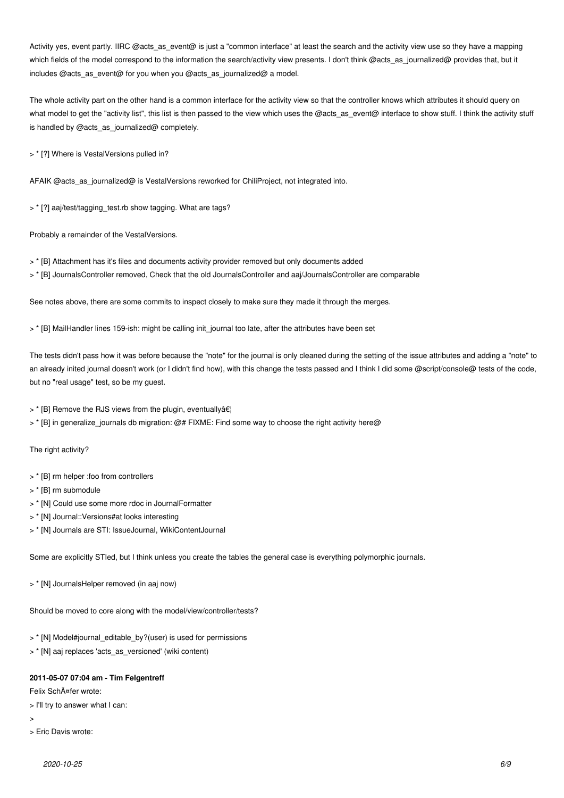Activity yes, event partly. IIRC @acts\_as\_event@ is just a "common interface" at least the search and the activity view use so they have a mapping which fields of the model correspond to the information the search/activity view presents. I don't think @acts\_as\_journalized@ provides that, but it includes @acts\_as\_event@ for you when you @acts\_as\_journalized@ a model.

The whole activity part on the other hand is a common interface for the activity view so that the controller knows which attributes it should query on what model to get the "activity list", this list is then passed to the view which uses the @acts\_as\_event@ interface to show stuff. I think the activity stuff is handled by @acts\_as\_journalized@ completely.

> \* [?] Where is VestalVersions pulled in?

AFAIK @acts\_as\_journalized@ is VestalVersions reworked for ChiliProject, not integrated into.

> \* [?] aaj/test/tagging\_test.rb show tagging. What are tags?

Probably a remainder of the VestalVersions.

- > \* [B] Attachment has it's files and documents activity provider removed but only documents added
- > \* [B] JournalsController removed, Check that the old JournalsController and aaj/JournalsController are comparable

See notes above, there are some commits to inspect closely to make sure they made it through the merges.

> \* [B] MailHandler lines 159-ish: might be calling init journal too late, after the attributes have been set

The tests didn't pass how it was before because the "note" for the journal is only cleaned during the setting of the issue attributes and adding a "note" to an already inited journal doesn't work (or I didn't find how), with this change the tests passed and I think I did some @script/console@ tests of the code, but no "real usage" test, so be my guest.

 $>$  \* [B] Remove the RJS views from the plugin, eventually $\hat{\mathbf{H}}$ 

> \* [B] in generalize journals db migration: @# FIXME: Find some way to choose the right activity here@

The right activity?

- > \* [B] rm helper :foo from controllers
- > \* [B] rm submodule
- > \* [N] Could use some more rdoc in JournalFormatter
- > \* [N] Journal::Versions#at looks interesting
- > \* [N] Journals are STI: IssueJournal, WikiContentJournal

Some are explicitly STIed, but I think unless you create the tables the general case is everything polymorphic journals.

> \* [N] JournalsHelper removed (in aaj now)

Should be moved to core along with the model/view/controller/tests?

- > \* [N] Model#journal\_editable\_by?(user) is used for permissions
- > \* [N] aaj replaces 'acts\_as\_versioned' (wiki content)

#### **2011-05-07 07:04 am - Tim Felgentreff**

Felix SchĤfer wrote:

> I'll try to answer what I can:

>

> Eric Davis wrote: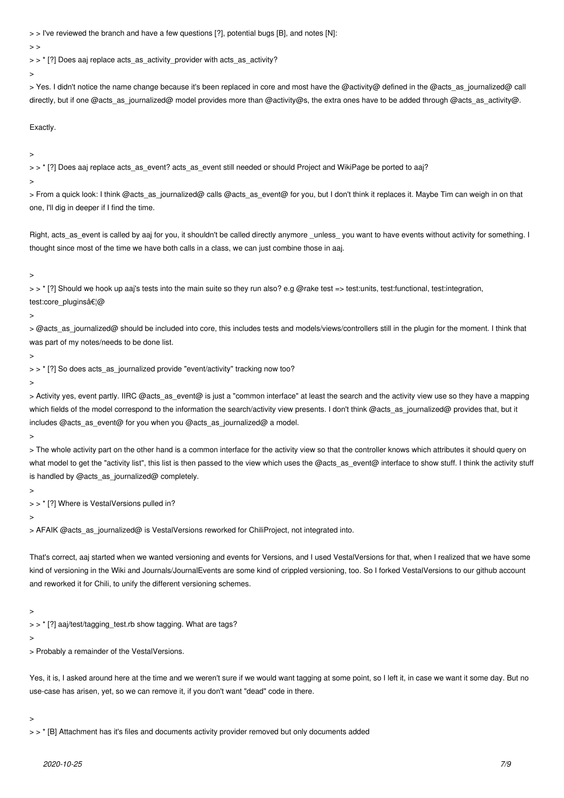> > I've reviewed the branch and have a few questions [?], potential bugs [B], and notes [N]:

 $\rightarrow$ 

> > \* [?] Does aaj replace acts as activity provider with acts as activity?

>

> Yes. I didn't notice the name change because it's been replaced in core and most have the @activity@ defined in the @acts\_as\_journalized@ call directly, but if one @acts\_as\_journalized@ model provides more than @activity@s, the extra ones have to be added through @acts\_as\_activity@.

Exactly.

>

> > \* [?] Does aaj replace acts\_as\_event? acts\_as\_event still needed or should Project and WikiPage be ported to aaj?

>

> From a quick look: I think @acts as journalized@ calls @acts as event@ for you, but I don't think it replaces it. Maybe Tim can weigh in on that one, I'll dig in deeper if I find the time.

Right, acts\_as\_event is called by aaj for you, it shouldn't be called directly anymore \_unless\_ you want to have events without activity for something. I thought since most of the time we have both calls in a class, we can just combine those in aaj.

>

> > \* [?] Should we hook up aaj's tests into the main suite so they run also? e.g @rake test => test:units, test:functional, test:integration, test:core\_plugins…@

 $\rightarrow$ 

> @acts\_as\_journalized@ should be included into core, this includes tests and models/views/controllers still in the plugin for the moment. I think that was part of my notes/needs to be done list.

>

> > \* [?] So does acts\_as\_journalized provide "event/activity" tracking now too?

>

> Activity yes, event partly. IIRC @acts\_as\_event@ is just a "common interface" at least the search and the activity view use so they have a mapping which fields of the model correspond to the information the search/activity view presents. I don't think @acts\_as\_journalized@ provides that, but it includes @acts\_as\_event@ for you when you @acts\_as\_journalized@ a model.

>

> The whole activity part on the other hand is a common interface for the activity view so that the controller knows which attributes it should query on what model to get the "activity list", this list is then passed to the view which uses the @acts\_as\_event@ interface to show stuff. I think the activity stuff is handled by @acts\_as\_journalized@ completely.

 $\rightarrow$ 

> > \* [?] Where is VestalVersions pulled in?

 $\rightarrow$ 

> AFAIK @acts\_as\_journalized@ is VestalVersions reworked for ChiliProject, not integrated into.

That's correct, aaj started when we wanted versioning and events for Versions, and I used VestalVersions for that, when I realized that we have some kind of versioning in the Wiki and Journals/JournalEvents are some kind of crippled versioning, too. So I forked VestalVersions to our github account and reworked it for Chili, to unify the different versioning schemes.

>

> > \* [?] aaj/test/tagging\_test.rb show tagging. What are tags?

>

> Probably a remainder of the VestalVersions.

Yes, it is, I asked around here at the time and we weren't sure if we would want tagging at some point, so I left it, in case we want it some day. But no use-case has arisen, yet, so we can remove it, if you don't want "dead" code in there.

>

> > \* [B] Attachment has it's files and documents activity provider removed but only documents added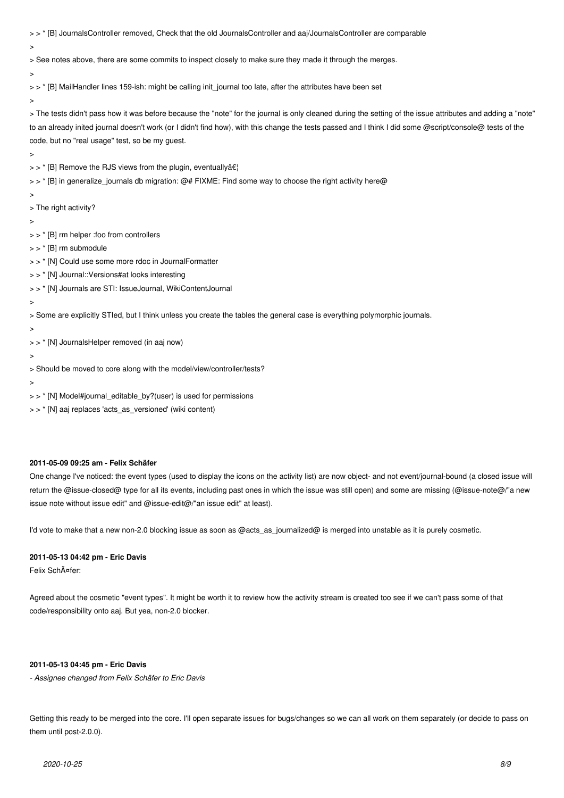> > \* [B] JournalsController removed, Check that the old JournalsController and aaj/JournalsController are comparable

 $\ddot{\phantom{1}}$ 

> See notes above, there are some commits to inspect closely to make sure they made it through the merges.

>

> > \* [B] MailHandler lines 159-ish: might be calling init\_journal too late, after the attributes have been set

>

> The tests didn't pass how it was before because the "note" for the journal is only cleaned during the setting of the issue attributes and adding a "note" to an already inited journal doesn't work (or I didn't find how), with this change the tests passed and I think I did some @script/console@ tests of the code, but no "real usage" test, so be my guest.

>

 $>$   $>$  \* [B] Remove the RJS views from the plugin, eventually  $\hat{a} \in \hat{C}$ 

> > \* [B] in generalize\_journals db migration: @# FIXME: Find some way to choose the right activity here@

 $\rightarrow$ 

> The right activity?

>

> > \* [B] rm helper :foo from controllers

> > \* [B] rm submodule

> > \* [N] Could use some more rdoc in JournalFormatter

- > > \* [N] Journal::Versions#at looks interesting
- > > \* [N] Journals are STI: IssueJournal, WikiContentJournal
- >

> Some are explicitly STIed, but I think unless you create the tables the general case is everything polymorphic journals.

>

> > \* [N] JournalsHelper removed (in aaj now)

>

> Should be moved to core along with the model/view/controller/tests?

>

> > \* [N] Model#journal\_editable\_by?(user) is used for permissions

> > \* [N] aaj replaces 'acts\_as\_versioned' (wiki content)

## **2011-05-09 09:25 am - Felix Schäfer**

One change I've noticed: the event types (used to display the icons on the activity list) are now object- and not event/journal-bound (a closed issue will return the @issue-closed@ type for all its events, including past ones in which the issue was still open) and some are missing (@issue-note@/"a new issue note without issue edit" and @issue-edit@/"an issue edit" at least).

I'd vote to make that a new non-2.0 blocking issue as soon as @acts\_as\_journalized@ is merged into unstable as it is purely cosmetic.

# **2011-05-13 04:42 pm - Eric Davis**

Felix Schäfer:

Agreed about the cosmetic "event types". It might be worth it to review how the activity stream is created too see if we can't pass some of that code/responsibility onto aaj. But yea, non-2.0 blocker.

#### **2011-05-13 04:45 pm - Eric Davis**

*- Assignee changed from Felix Schäfer to Eric Davis*

Getting this ready to be merged into the core. I'll open separate issues for bugs/changes so we can all work on them separately (or decide to pass on them until post-2.0.0).